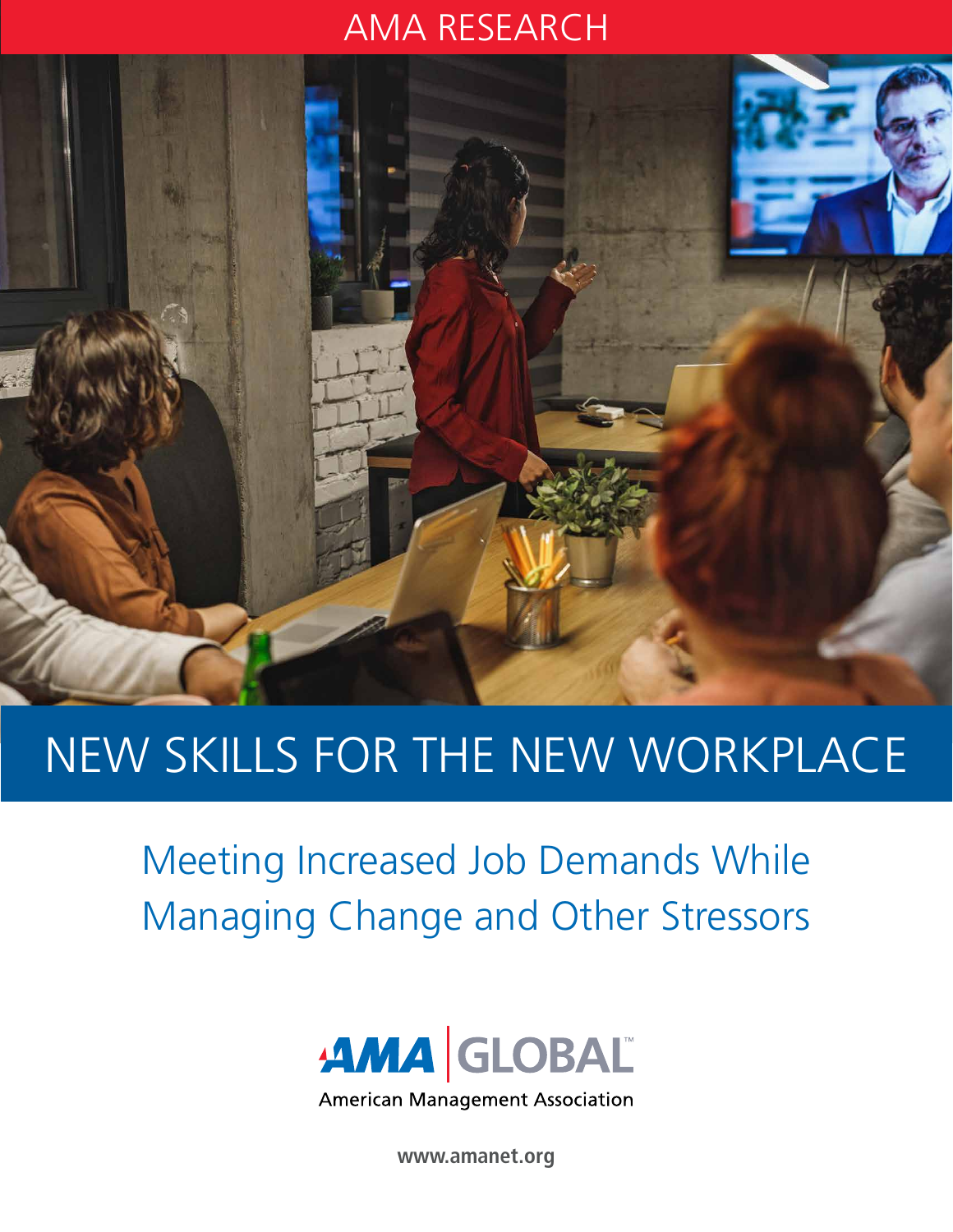### AMA RESEARCH



# NEW SKILLS FOR THE NEW WORKPLACE

Meeting Increased Job Demands While Managing Change and Other Stressors



**American Management Association** 

**www.amanet.org**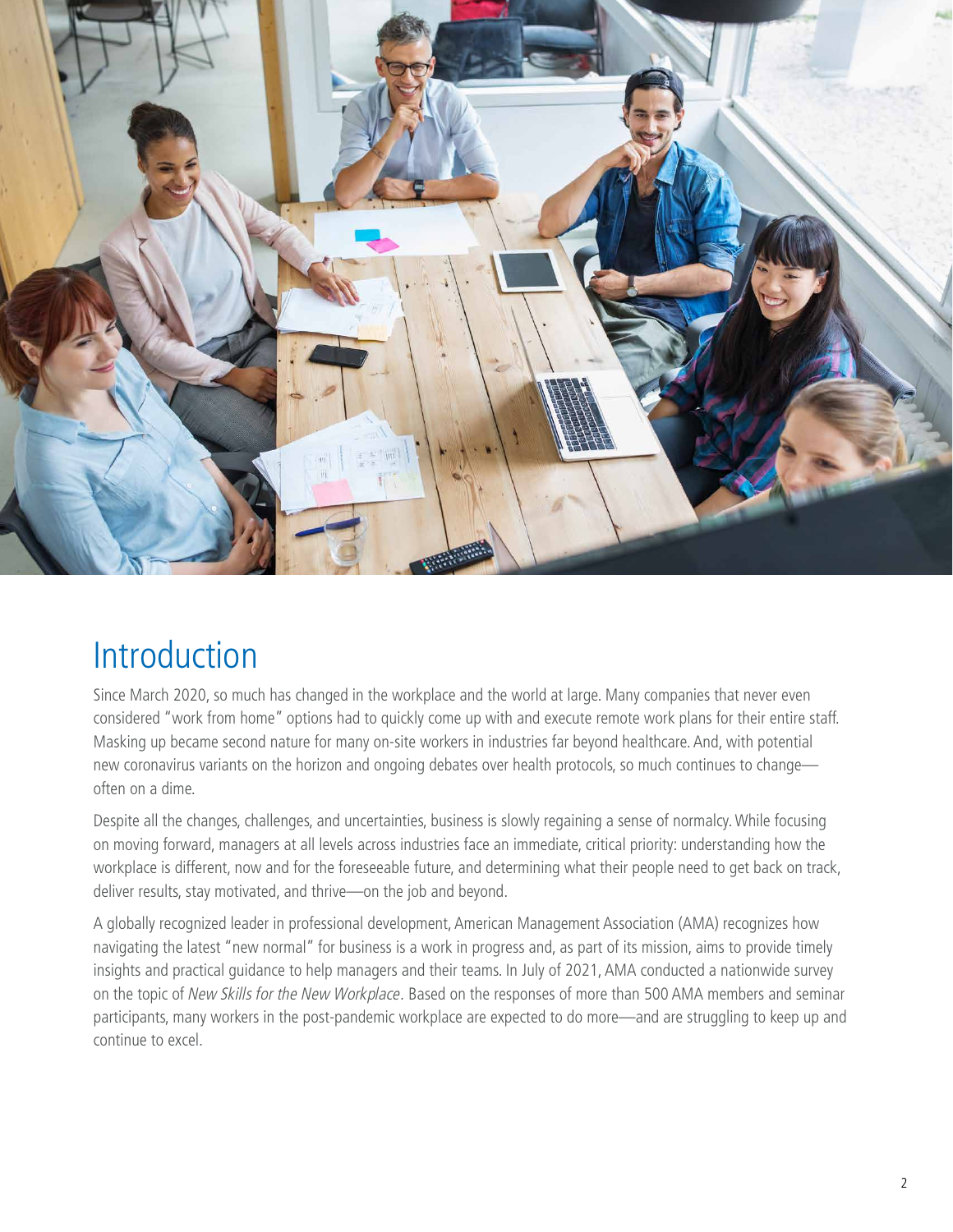

### Introduction

Since March 2020, so much has changed in the workplace and the world at large. Many companies that never even considered "work from home" options had to quickly come up with and execute remote work plans for their entire staff. Masking up became second nature for many on-site workers in industries far beyond healthcare. And, with potential new coronavirus variants on the horizon and ongoing debates over health protocols, so much continues to change often on a dime.

Despite all the changes, challenges, and uncertainties, business is slowly regaining a sense of normalcy. While focusing on moving forward, managers at all levels across industries face an immediate, critical priority: understanding how the workplace is different, now and for the foreseeable future, and determining what their people need to get back on track, deliver results, stay motivated, and thrive—on the job and beyond.

A globally recognized leader in professional development, American Management Association (AMA) recognizes how navigating the latest "new normal" for business is a work in progress and, as part of its mission, aims to provide timely insights and practical guidance to help managers and their teams. In July of 2021, AMA conducted a nationwide survey on the topic of New Skills for the New Workplace. Based on the responses of more than 500 AMA members and seminar participants, many workers in the post-pandemic workplace are expected to do more—and are struggling to keep up and continue to excel.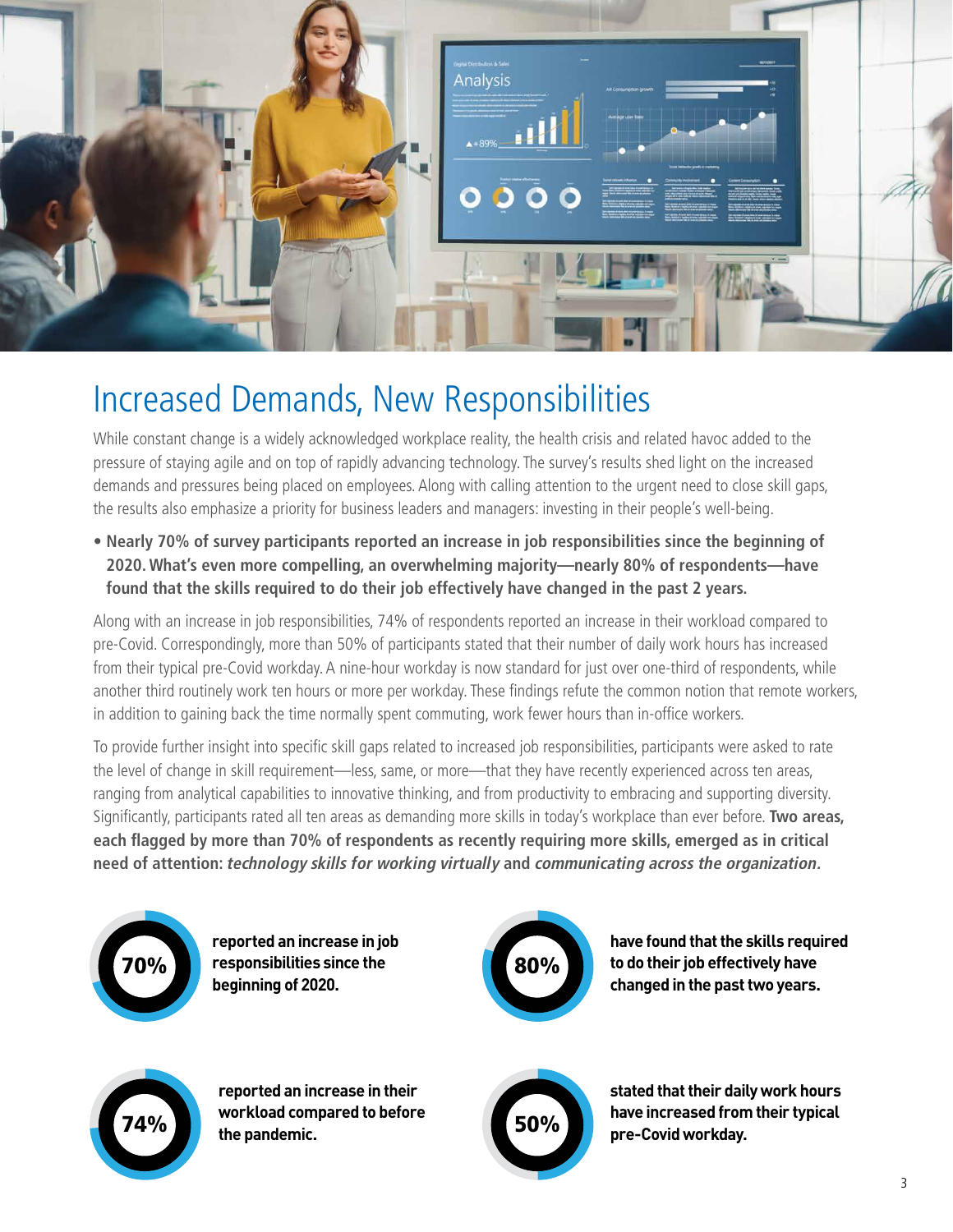

### Increased Demands, New Responsibilities

While constant change is a widely acknowledged workplace reality, the health crisis and related havoc added to the pressure of staying agile and on top of rapidly advancing technology. The survey's results shed light on the increased demands and pressures being placed on employees. Along with calling attention to the urgent need to close skill gaps, the results also emphasize a priority for business leaders and managers: investing in their people's well-being.

**• Nearly 70% of survey participants reported an increase in job responsibilities since the beginning of 2020. What's even more compelling, an overwhelming majority—nearly 80% of respondents—have found that the skills required to do their job effectively have changed in the past 2 years.** 

Along with an increase in job responsibilities, 74% of respondents reported an increase in their workload compared to pre-Covid. Correspondingly, more than 50% of participants stated that their number of daily work hours has increased from their typical pre-Covid workday. A nine-hour workday is now standard for just over one-third of respondents, while another third routinely work ten hours or more per workday. These findings refute the common notion that remote workers, in addition to gaining back the time normally spent commuting, work fewer hours than in-office workers.

To provide further insight into specific skill gaps related to increased job responsibilities, participants were asked to rate the level of change in skill requirement—less, same, or more—that they have recently experienced across ten areas, ranging from analytical capabilities to innovative thinking, and from productivity to embracing and supporting diversity. Significantly, participants rated all ten areas as demanding more skills in today's workplace than ever before. **Two areas, each flagged by more than 70% of respondents as recently requiring more skills, emerged as in critical need of attention: technology skills for working virtually and communicating across the organization.**



**reported an increase in job responsibilities since the beginning of 2020.**



**have found that the skills required to do their job effectively have changed in the past two years.**



**reported an increase in their workload compared to before the pandemic.**



**stated that their daily work hours have increased from their typical pre-Covid workday.**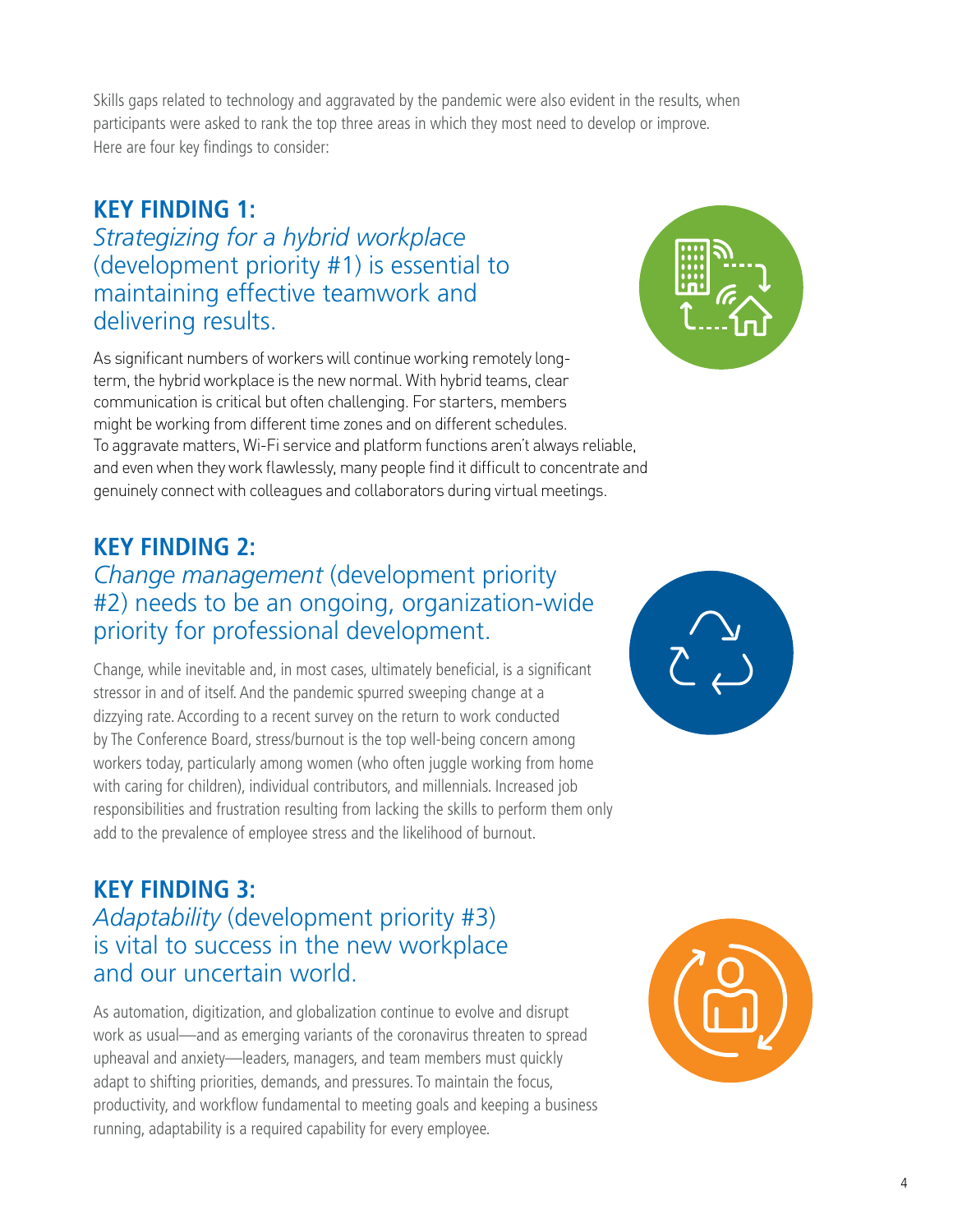Skills gaps related to technology and aggravated by the pandemic were also evident in the results, when participants were asked to rank the top three areas in which they most need to develop or improve. Here are four key findings to consider:

#### **KEY FINDING 1:**

*Strategizing for a hybrid workplace* (development priority #1) is essential to maintaining effective teamwork and delivering results.

As significant numbers of workers will continue working remotely longterm, the hybrid workplace is the new normal. With hybrid teams, clear communication is critical but often challenging. For starters, members might be working from different time zones and on different schedules. To aggravate matters, Wi-Fi service and platform functions aren't always reliable, and even when they work flawlessly, many people find it difficult to concentrate and genuinely connect with colleagues and collaborators during virtual meetings.

#### **KEY FINDING 2:**

#### *Change management* (development priority #2) needs to be an ongoing, organization-wide priority for professional development.

Change, while inevitable and, in most cases, ultimately beneficial, is a significant stressor in and of itself. And the pandemic spurred sweeping change at a dizzying rate. According to a recent survey on the return to work conducted by The Conference Board, stress/burnout is the top well-being concern among workers today, particularly among women (who often juggle working from home with caring for children), individual contributors, and millennials. Increased job responsibilities and frustration resulting from lacking the skills to perform them only add to the prevalence of employee stress and the likelihood of burnout.

#### **KEY FINDING 3:** *Adaptability* (development priority #3) is vital to success in the new workplace and our uncertain world.

As automation, digitization, and globalization continue to evolve and disrupt work as usual—and as emerging variants of the coronavirus threaten to spread upheaval and anxiety—leaders, managers, and team members must quickly adapt to shifting priorities, demands, and pressures. To maintain the focus, productivity, and workflow fundamental to meeting goals and keeping a business running, adaptability is a required capability for every employee.





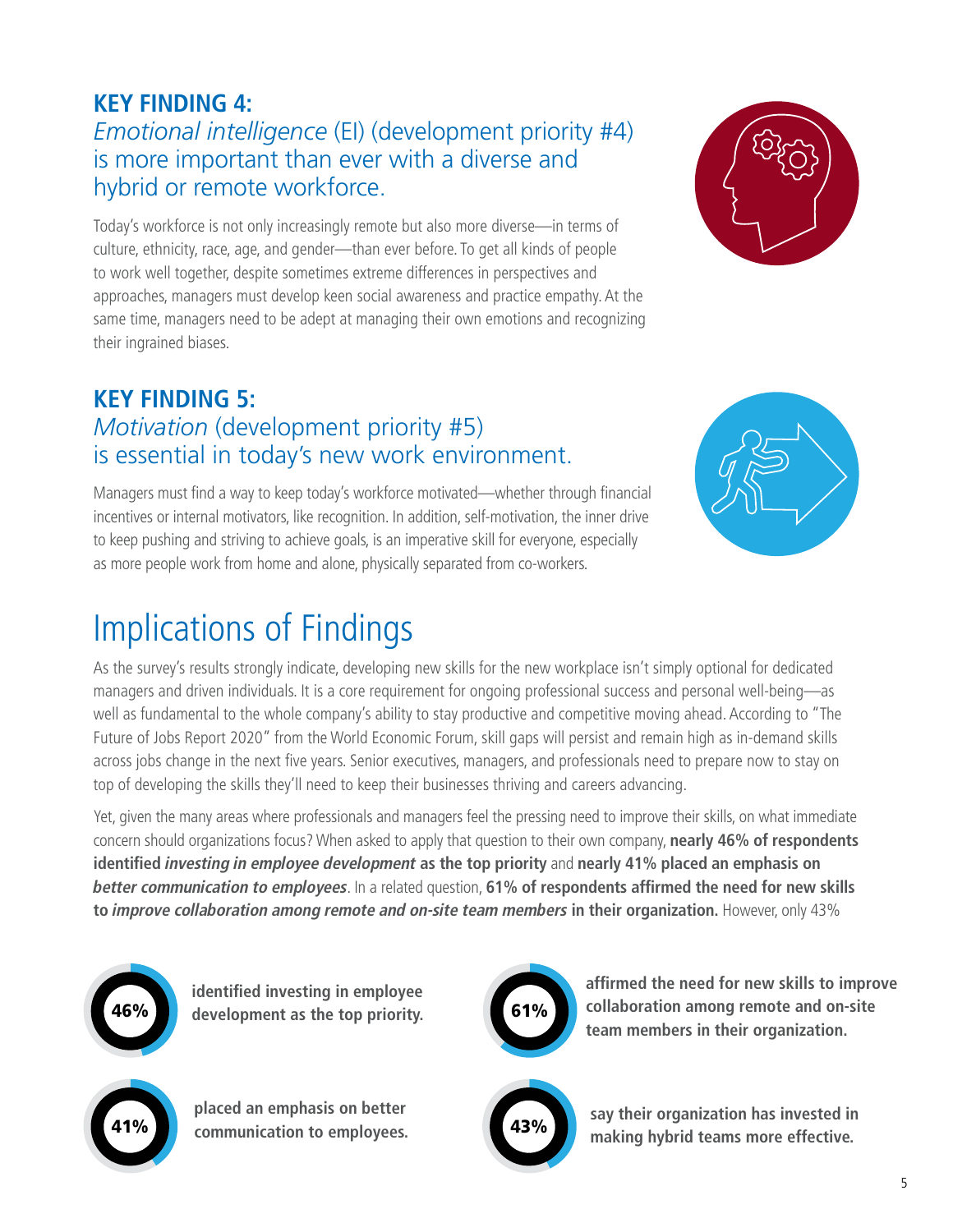#### **KEY FINDING 4:** *Emotional intelligence* (EI) (development priority #4) is more important than ever with a diverse and hybrid or remote workforce.

Today's workforce is not only increasingly remote but also more diverse—in terms of culture, ethnicity, race, age, and gender—than ever before. To get all kinds of people to work well together, despite sometimes extreme differences in perspectives and approaches, managers must develop keen social awareness and practice empathy. At the same time, managers need to be adept at managing their own emotions and recognizing their ingrained biases.

### **KEY FINDING 5:** *Motivation* (development priority #5) is essential in today's new work environment.

Managers must find a way to keep today's workforce motivated—whether through financial incentives or internal motivators, like recognition. In addition, self-motivation, the inner drive to keep pushing and striving to achieve goals, is an imperative skill for everyone, especially as more people work from home and alone, physically separated from co-workers.



## Implications of Findings

As the survey's results strongly indicate, developing new skills for the new workplace isn't simply optional for dedicated managers and driven individuals. It is a core requirement for ongoing professional success and personal well-being—as well as fundamental to the whole company's ability to stay productive and competitive moving ahead. According to "The Future of Jobs Report 2020" from the World Economic Forum, skill gaps will persist and remain high as in-demand skills across jobs change in the next five years. Senior executives, managers, and professionals need to prepare now to stay on top of developing the skills they'll need to keep their businesses thriving and careers advancing.

Yet, given the many areas where professionals and managers feel the pressing need to improve their skills, on what immediate concern should organizations focus? When asked to apply that question to their own company, **nearly 46% of respondents identified investing in employee development as the top priority** and **nearly 41% placed an emphasis on better communication to employees**. In a related question, **61% of respondents affirmed the need for new skills to improve collaboration among remote and on-site team members in their organization.** However, only 43%



**identified investing in employee development as the top priority.**



**placed an emphasis on better communication to employees.**



**affirmed the need for new skills to improve collaboration among remote and on-site team members in their organization.**



43% **say their organization has invested in making hybrid teams more effective.**